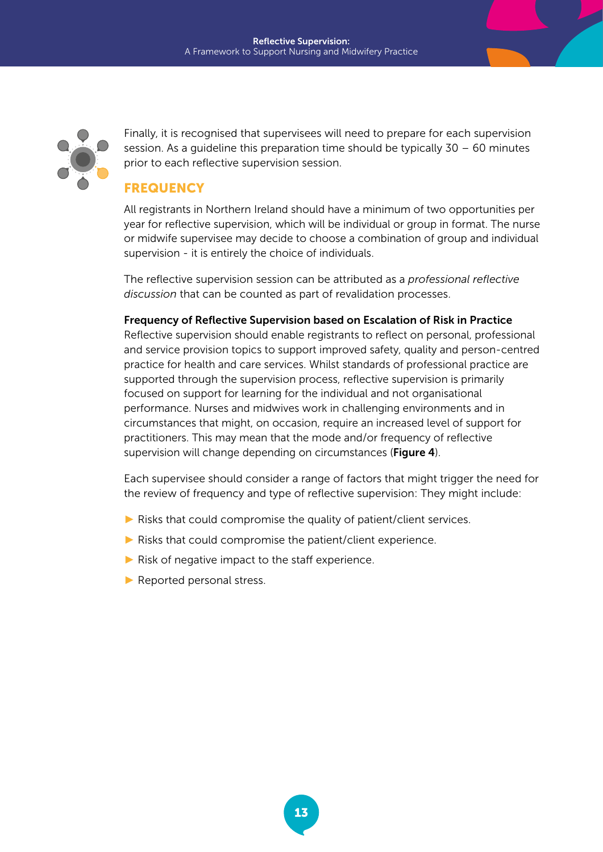

Finally, it is recognised that supervisees will need to prepare for each supervision session. As a quideline this preparation time should be typically  $30 - 60$  minutes prior to each reflective supervision session.

## **FREQUENCY**

All registrants in Northern Ireland should have a minimum of two opportunities per year for reflective supervision, which will be individual or group in format. The nurse or midwife supervisee may decide to choose a combination of group and individual supervision - it is entirely the choice of individuals.

The reflective supervision session can be attributed as a *professional reflective discussion* that can be counted as part of revalidation processes.

Frequency of Reflective Supervision based on Escalation of Risk in Practice Reflective supervision should enable registrants to reflect on personal, professional and service provision topics to support improved safety, quality and person-centred practice for health and care services. Whilst standards of professional practice are supported through the supervision process, reflective supervision is primarily focused on support for learning for the individual and not organisational performance. Nurses and midwives work in challenging environments and in circumstances that might, on occasion, require an increased level of support for practitioners. This may mean that the mode and/or frequency of reflective supervision will change depending on circumstances (Figure 4).

Each supervisee should consider a range of factors that might trigger the need for the review of frequency and type of reflective supervision: They might include:

- ► Risks that could compromise the quality of patient/client services.
- $\blacktriangleright$  Risks that could compromise the patient/client experience.
- $\blacktriangleright$  Risk of negative impact to the staff experience.
- ► Reported personal stress.